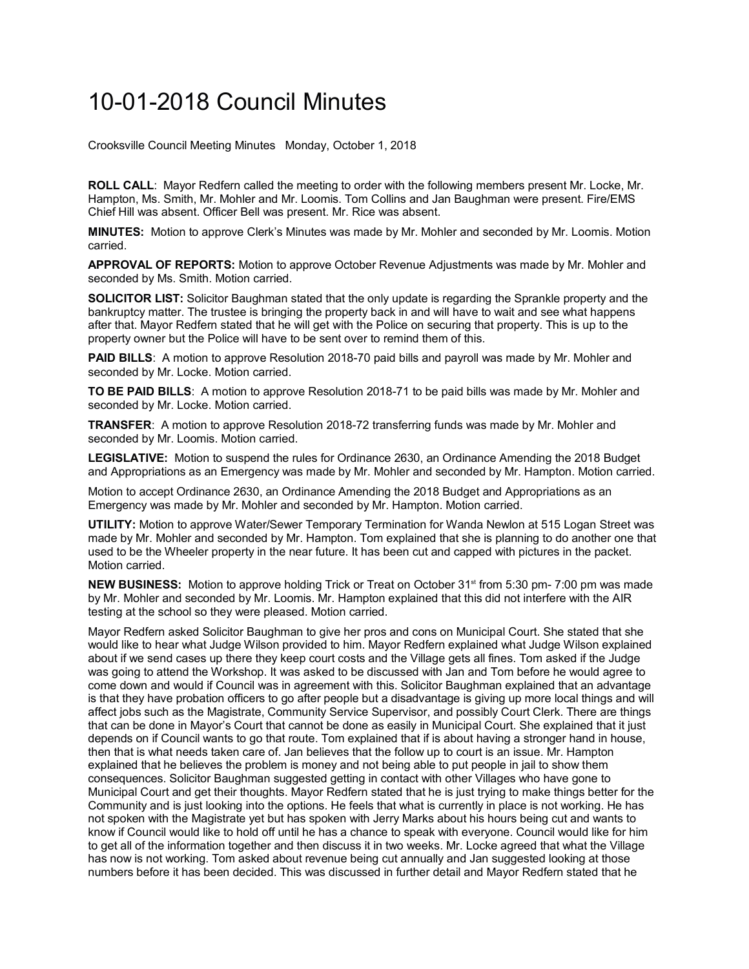## 10-01-2018 Council Minutes

Crooksville Council Meeting Minutes Monday, October 1, 2018

**ROLL CALL**: Mayor Redfern called the meeting to order with the following members present Mr. Locke, Mr. Hampton, Ms. Smith, Mr. Mohler and Mr. Loomis. Tom Collins and Jan Baughman were present. Fire/EMS Chief Hill was absent. Officer Bell was present. Mr. Rice was absent.

**MINUTES:** Motion to approve Clerk's Minutes was made by Mr. Mohler and seconded by Mr. Loomis. Motion carried.

**APPROVAL OF REPORTS:** Motion to approve October Revenue Adjustments was made by Mr. Mohler and seconded by Ms. Smith. Motion carried.

**SOLICITOR LIST:** Solicitor Baughman stated that the only update is regarding the Sprankle property and the bankruptcy matter. The trustee is bringing the property back in and will have to wait and see what happens after that. Mayor Redfern stated that he will get with the Police on securing that property. This is up to the property owner but the Police will have to be sent over to remind them of this.

**PAID BILLS**: A motion to approve Resolution 2018-70 paid bills and payroll was made by Mr. Mohler and seconded by Mr. Locke. Motion carried.

**TO BE PAID BILLS**: A motion to approve Resolution 2018-71 to be paid bills was made by Mr. Mohler and seconded by Mr. Locke. Motion carried.

**TRANSFER**: A motion to approve Resolution 2018-72 transferring funds was made by Mr. Mohler and seconded by Mr. Loomis. Motion carried.

**LEGISLATIVE:** Motion to suspend the rules for Ordinance 2630, an Ordinance Amending the 2018 Budget and Appropriations as an Emergency was made by Mr. Mohler and seconded by Mr. Hampton. Motion carried.

Motion to accept Ordinance 2630, an Ordinance Amending the 2018 Budget and Appropriations as an Emergency was made by Mr. Mohler and seconded by Mr. Hampton. Motion carried.

**UTILITY:** Motion to approve Water/Sewer Temporary Termination for Wanda Newlon at 515 Logan Street was made by Mr. Mohler and seconded by Mr. Hampton. Tom explained that she is planning to do another one that used to be the Wheeler property in the near future. It has been cut and capped with pictures in the packet. Motion carried.

**NEW BUSINESS:** Motion to approve holding Trick or Treat on October 31<sup>st</sup> from 5:30 pm- 7:00 pm was made by Mr. Mohler and seconded by Mr. Loomis. Mr. Hampton explained that this did not interfere with the AIR testing at the school so they were pleased. Motion carried.

Mayor Redfern asked Solicitor Baughman to give her pros and cons on Municipal Court. She stated that she would like to hear what Judge Wilson provided to him. Mayor Redfern explained what Judge Wilson explained about if we send cases up there they keep court costs and the Village gets all fines. Tom asked if the Judge was going to attend the Workshop. It was asked to be discussed with Jan and Tom before he would agree to come down and would if Council was in agreement with this. Solicitor Baughman explained that an advantage is that they have probation officers to go after people but a disadvantage is giving up more local things and will affect jobs such as the Magistrate, Community Service Supervisor, and possibly Court Clerk. There are things that can be done in Mayor's Court that cannot be done as easily in Municipal Court. She explained that it just depends on if Council wants to go that route. Tom explained that if is about having a stronger hand in house, then that is what needs taken care of. Jan believes that the follow up to court is an issue. Mr. Hampton explained that he believes the problem is money and not being able to put people in jail to show them consequences. Solicitor Baughman suggested getting in contact with other Villages who have gone to Municipal Court and get their thoughts. Mayor Redfern stated that he is just trying to make things better for the Community and is just looking into the options. He feels that what is currently in place is not working. He has not spoken with the Magistrate yet but has spoken with Jerry Marks about his hours being cut and wants to know if Council would like to hold off until he has a chance to speak with everyone. Council would like for him to get all of the information together and then discuss it in two weeks. Mr. Locke agreed that what the Village has now is not working. Tom asked about revenue being cut annually and Jan suggested looking at those numbers before it has been decided. This was discussed in further detail and Mayor Redfern stated that he